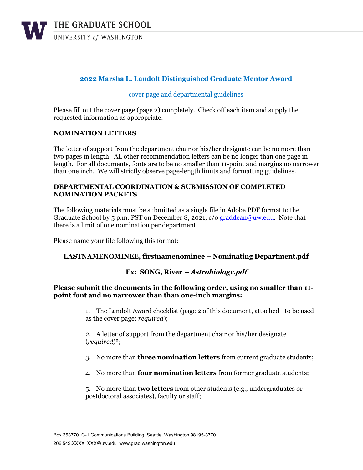

## **2022 Marsha L. Landolt Distinguished Graduate Mentor Award**

### cover page and departmental guidelines

Please fill out the cover page (page 2) completely. Check off each item and supply the requested information as appropriate.

#### **NOMINATION LETTERS**

The letter of support from the department chair or his/her designate can be no more than two pages in length. All other recommendation letters can be no longer than one page in length. For all documents, fonts are to be no smaller than 11-point and margins no narrower than one inch. We will strictly observe page-length limits and formatting guidelines.

#### **DEPARTMENTAL COORDINATION & SUBMISSION OF COMPLETED NOMINATION PACKETS**

The following materials must be submitted as a single file in Adobe PDF format to the Graduate School by 5 p.m. PST on December 8, 2021,  $c/o$  graddean@uw.edu. Note that there is a limit of one nomination per department.

Please name your file following this format:

#### **LASTNAMENOMINEE, firstnamenominee – Nominating Department.pdf**

### **Ex: SONG, River – Astrobiology.pdf**

#### **Please submit the documents in the following order, using no smaller than 11 point font and no narrower than than one-inch margins:**

1. The Landolt Award checklist (page 2 of this document, attached—to be used as the cover page; *required*);

2. A letter of support from the department chair or his/her designate (*required*)\*;

- 3. No more than **three nomination letters** from current graduate students;
- 4. No more than **four nomination letters** from former graduate students;

5. No more than **two letters** from other students (e.g., undergraduates or postdoctoral associates), faculty or staff;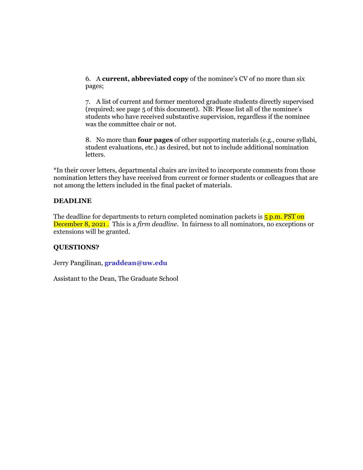6. A **current, abbreviated copy** of the nominee's CV of no more than six pages;

7. A list of current and former mentored graduate students directly supervised (required; see page 5 of this document). NB: Please list all of the nominee's students who have received substantive supervision, regardless if the nominee was the committee chair or not.

8. No more than **four pages** of other supporting materials (e.g., course syllabi, student evaluations, etc.) as desired, but not to include additional nomination letters.

\*In their cover letters, departmental chairs are invited to incorporate comments from those nomination letters they have received from current or former students or colleagues that are not among the letters included in the final packet of materials.

#### **DEADLINE**

The deadline for departments to return completed nomination packets is  $\frac{1}{5}$  p.m. PST on December 8, 2021 . This is a *firm deadline*. In fairness to all nominators, no exceptions or extensions will be granted.

### **QUESTIONS?**

Jerry Pangilinan, **graddean@uw.edu**

Assistant to the Dean, The Graduate School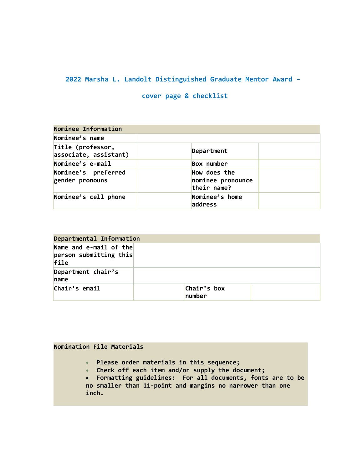# **2022 Marsha L. Landolt Distinguished Graduate Mentor Award –**

# **cover page & checklist**

| Nominee Information                        |                                                  |  |  |  |  |
|--------------------------------------------|--------------------------------------------------|--|--|--|--|
| Nominee's name                             |                                                  |  |  |  |  |
| Title (professor,<br>associate, assistant) | Department                                       |  |  |  |  |
| Nominee's e-mail                           | Box number                                       |  |  |  |  |
| Nominee's preferred<br>gender pronouns     | How does the<br>nominee pronounce<br>their name? |  |  |  |  |
| Nominee's cell phone                       | Nominee's home<br>address                        |  |  |  |  |

| Departmental Information                                     |                       |  |  |  |  |  |
|--------------------------------------------------------------|-----------------------|--|--|--|--|--|
| Name and $e$ -mail of the<br> personsubmitting this <br>file |                       |  |  |  |  |  |
| Department chair's<br>name                                   |                       |  |  |  |  |  |
| Chair's email                                                | Chair's box<br>number |  |  |  |  |  |

## **Nomination File Materials**

- **Please order materials in this sequence;**
- **Check off each item and/or supply the document;**
- **Formatting guidelines: For all documents, fonts are to be no smaller than 11-point and margins no narrower than one inch.**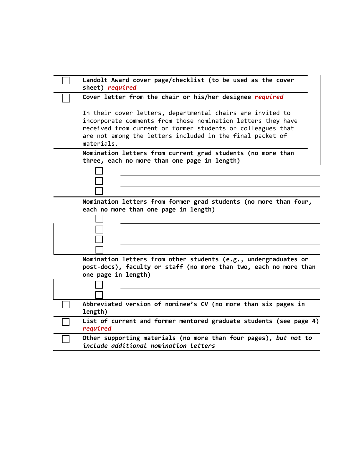| Landolt Award cover page/checklist (to be used as the cover<br>sheet) required                                                                                                                                                                                       |
|----------------------------------------------------------------------------------------------------------------------------------------------------------------------------------------------------------------------------------------------------------------------|
| Cover letter from the chair or his/her designee required                                                                                                                                                                                                             |
| In their cover letters, departmental chairs are invited to<br>incorporate comments from those nomination letters they have<br>received from current or former students or colleagues that<br>are not among the letters included in the final packet of<br>materials. |
| Nomination letters from current grad students (no more than<br>three, each no more than one page in length)                                                                                                                                                          |
|                                                                                                                                                                                                                                                                      |
| Nomination letters from former grad students (no more than four,<br>each no more than one page in length)                                                                                                                                                            |
|                                                                                                                                                                                                                                                                      |
|                                                                                                                                                                                                                                                                      |
|                                                                                                                                                                                                                                                                      |
| Nomination letters from other students (e.g., undergraduates or<br>post-docs), faculty or staff (no more than two, each no more than<br>one page in length)                                                                                                          |
|                                                                                                                                                                                                                                                                      |
| Abbreviated version of nominee's CV (no more than six pages in<br>length)                                                                                                                                                                                            |
| List of current and former mentored graduate students (see page 4)<br>required                                                                                                                                                                                       |
| Other supporting materials (no more than four pages), but not to<br>include additional nomination letters                                                                                                                                                            |